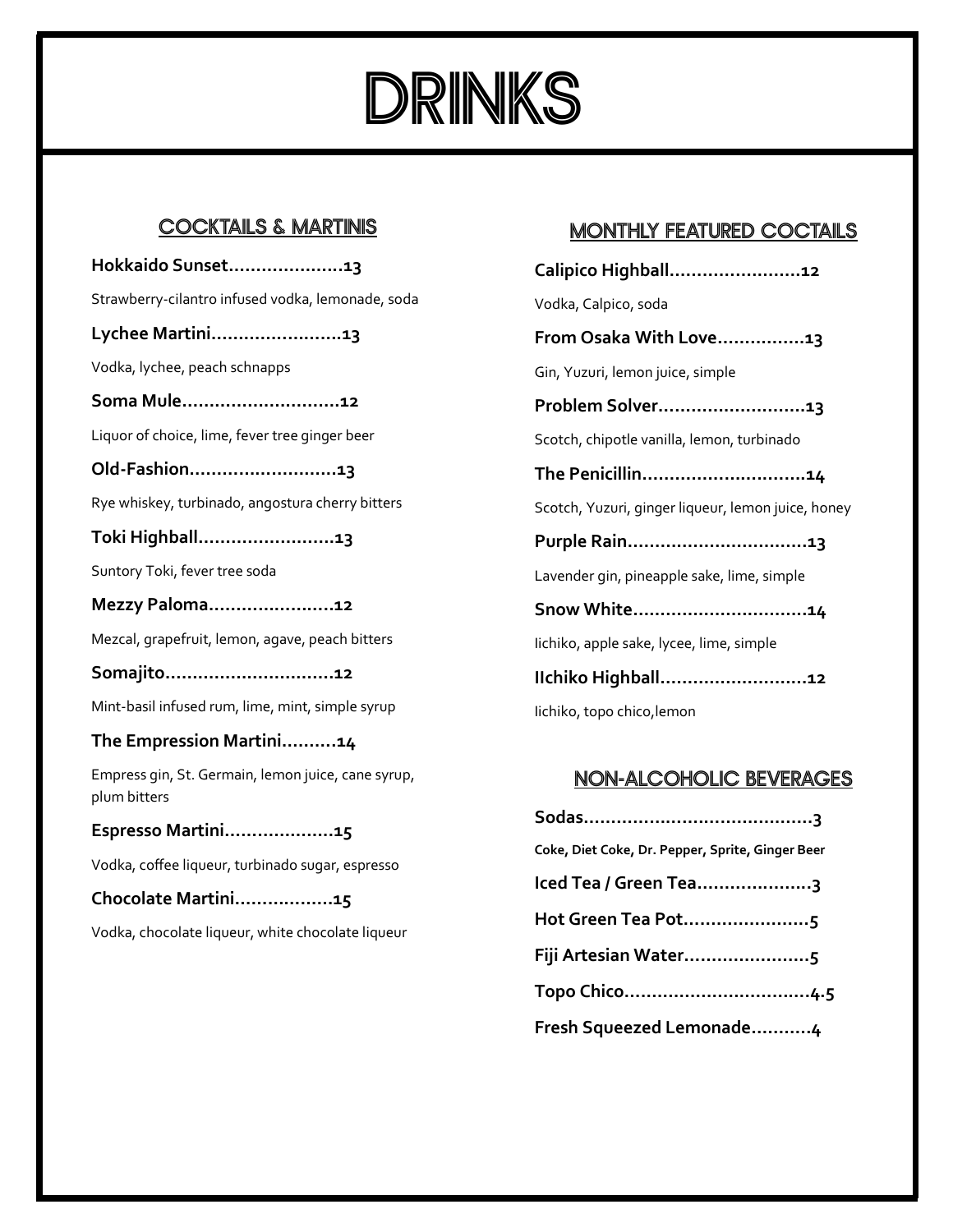

## COCKTAILS & MARTINIS

**Hokkaido Sunset………………...13** Strawberry-cilantro infused vodka, lemonade, soda **Lychee Martini…………..……….13** Vodka, lychee, peach schnapps **Soma Mule…………….………….12** Liquor of choice, lime, fever tree ginger beer **Old-Fashion……………………...13** Rye whiskey, turbinado, angostura cherry bitters **Toki Highball…………………….13** Suntory Toki, fever tree soda **Mezzy Paloma…………………..12** Mezcal, grapefruit, lemon, agave, peach bitters **Somajito………………………….12** Mint-basil infused rum, lime, mint, simple syrup **The Empression Martini……….14** Empress gin, St. Germain, lemon juice, cane syrup, plum bitters **Espresso Martini………………..15** Vodka, coffee liqueur, turbinado sugar, espresso **Chocolate Martini………………15** Vodka, chocolate liqueur, white chocolate liqueur

## MONTHLY FEATURED COCTAILS

| Calipico Highball12                                |
|----------------------------------------------------|
| Vodka, Calpico, soda                               |
| From Osaka With Love13                             |
| Gin, Yuzuri, lemon juice, simple                   |
| Problem Solver13                                   |
| Scotch, chipotle vanilla, lemon, turbinado         |
| The Penicillin14                                   |
| Scotch, Yuzuri, ginger liqueur, lemon juice, honey |
|                                                    |
| Lavender gin, pineapple sake, lime, simple         |
| Snow White14                                       |
| lichiko, apple sake, lycee, lime, simple           |
| Ilchiko Highball12                                 |
| lichiko, topo chico, lemon                         |

## NON-ALCOHOLIC BEVERAGES

| Coke, Diet Coke, Dr. Pepper, Sprite, Ginger Beer |
|--------------------------------------------------|
| Iced Tea / Green Tea3                            |
| Hot Green Tea Pot5                               |
| Fiji Artesian Water5                             |
|                                                  |
| Fresh Squeezed Lemonade4                         |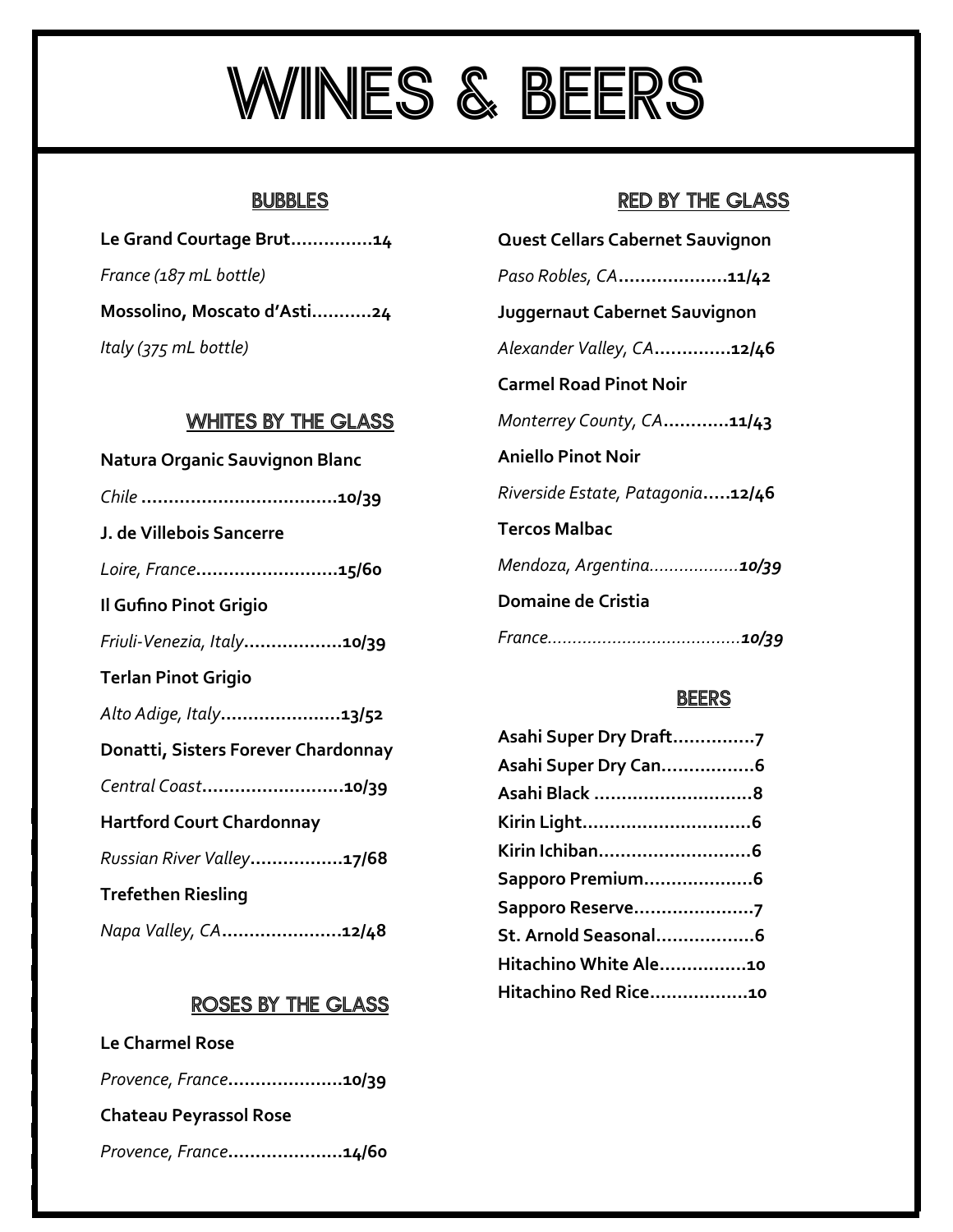# WINES & BEERS

## **BUBBLES**

| Le Grand Courtage Brut14    |
|-----------------------------|
| France (187 mL bottle)      |
| Mossolino, Moscato d'Asti24 |
| Italy (375 mL bottle)       |

## WHITES BY THE GLASS

| Natura Organic Sauvignon Blanc      |
|-------------------------------------|
|                                     |
| J. de Villebois Sancerre            |
| Loire, France15/60                  |
| Il Gufino Pinot Grigio              |
| Friuli-Venezia, Italy10/39          |
| <b>Terlan Pinot Grigio</b>          |
| Alto Adige, Italy13/52              |
| Donatti, Sisters Forever Chardonnay |
| Central Coast10/39                  |
| <b>Hartford Court Chardonnay</b>    |
| Russian River Valley17/68           |
| <b>Trefethen Riesling</b>           |
| Napa Valley, CA12/48                |

## ROSES BY THE GLASS

| <b>Le Charmel Rose</b>        |  |  |
|-------------------------------|--|--|
| Provence, France10/39         |  |  |
| <b>Chateau Peyrassol Rose</b> |  |  |
| Provence, France14/60         |  |  |

## RED BY THE GLASS

| Quest Cellars Cabernet Sauvignon |
|----------------------------------|
| Paso Robles, CA11/42             |
| Juggernaut Cabernet Sauvignon    |
| Alexander Valley, CA12/46        |
| <b>Carmel Road Pinot Noir</b>    |
| Monterrey County, CA11/43        |
| Aniello Pinot Noir               |
| Riverside Estate, Patagonia12/46 |
| Tercos Malbac                    |
| Mendoza, Argentina10/39          |
| Domaine de Cristia               |
|                                  |
|                                  |

## **BEERS**

| Asahi Super Dry Draft7 |  |
|------------------------|--|
| Asahi Super Dry Can6   |  |
| Asahi Black 8          |  |
|                        |  |
| Kirin Ichiban6         |  |
| Sapporo Premium6       |  |
| Sapporo Reserve7       |  |
| St. Arnold Seasonal6   |  |
| Hitachino White Ale10  |  |
| Hitachino Red Rice10   |  |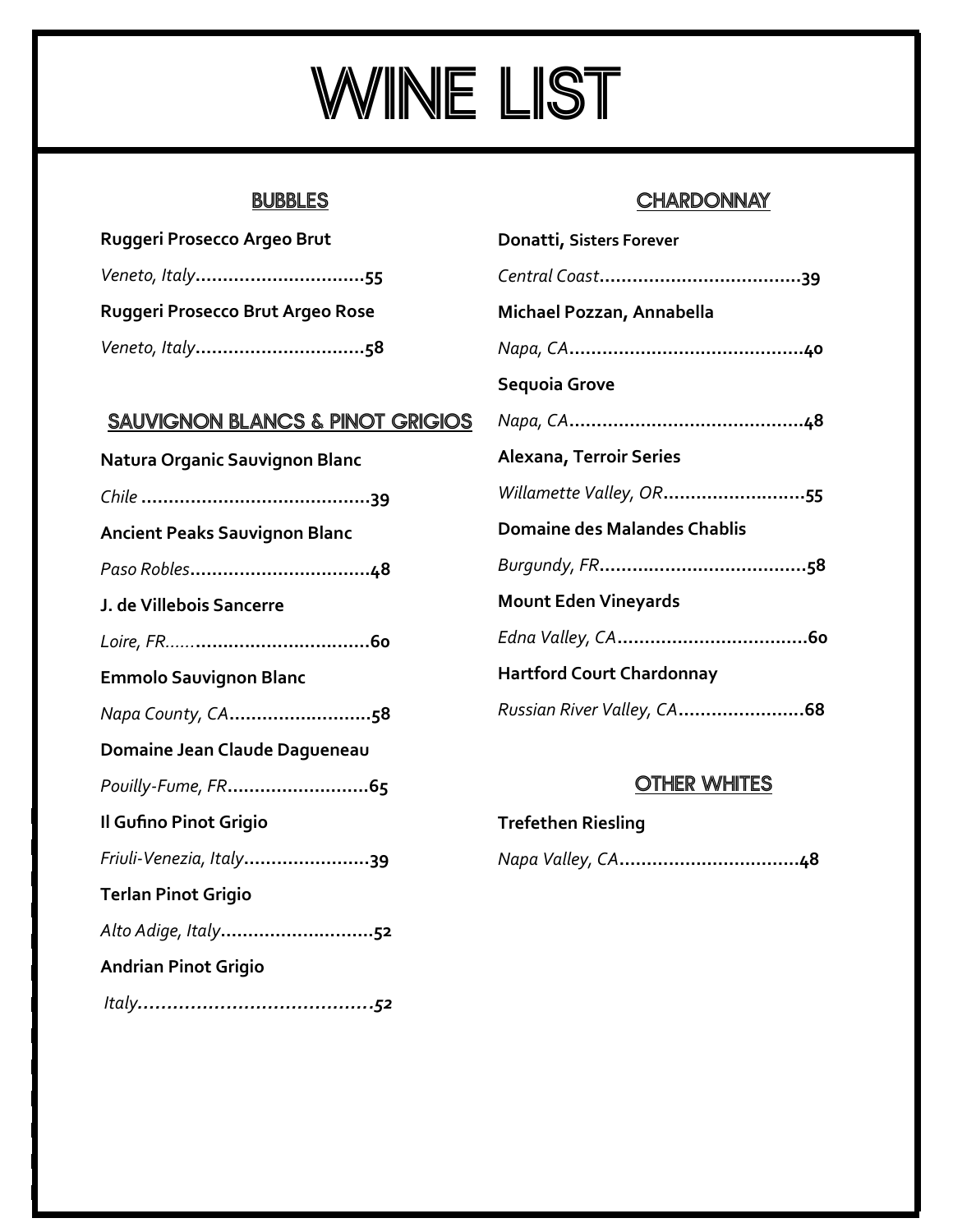# WINE LIST

## **BUBBLES**

| Ruggeri Prosecco Argeo Brut      |
|----------------------------------|
| Veneto, Italy55                  |
| Ruggeri Prosecco Brut Argeo Rose |
|                                  |

## SAUVIGNON BLANCS & PINOT GRIGIOS

| Natura Organic Sauvignon Blanc       |
|--------------------------------------|
|                                      |
| <b>Ancient Peaks Sauvignon Blanc</b> |
|                                      |
| J. de Villebois Sancerre             |
|                                      |
| <b>Emmolo Sauvignon Blanc</b>        |
| Napa County, CA58                    |
| Domaine Jean Claude Dagueneau        |
| Pouilly-Fume, FR65                   |
| Il Gufino Pinot Grigio               |
| Friuli-Venezia, Italy39              |
| <b>Terlan Pinot Grigio</b>           |
| Alto Adige, Italy52                  |
| <b>Andrian Pinot Grigio</b>          |
|                                      |

## **CHARDONNAY**

| Donatti, Sisters Forever            |
|-------------------------------------|
|                                     |
| Michael Pozzan, Annabella           |
|                                     |
| Sequoia Grove                       |
|                                     |
| Alexana, Terroir Series             |
| Willamette Valley, OR55             |
| <b>Domaine des Malandes Chablis</b> |
|                                     |
| <b>Mount Eden Vineyards</b>         |
|                                     |
| <b>Hartford Court Chardonnay</b>    |
| Russian River Valley, CA68          |

## **OTHER WHITES**

# **Trefethen Riesling** *Napa Valley, CA***…………………………...48**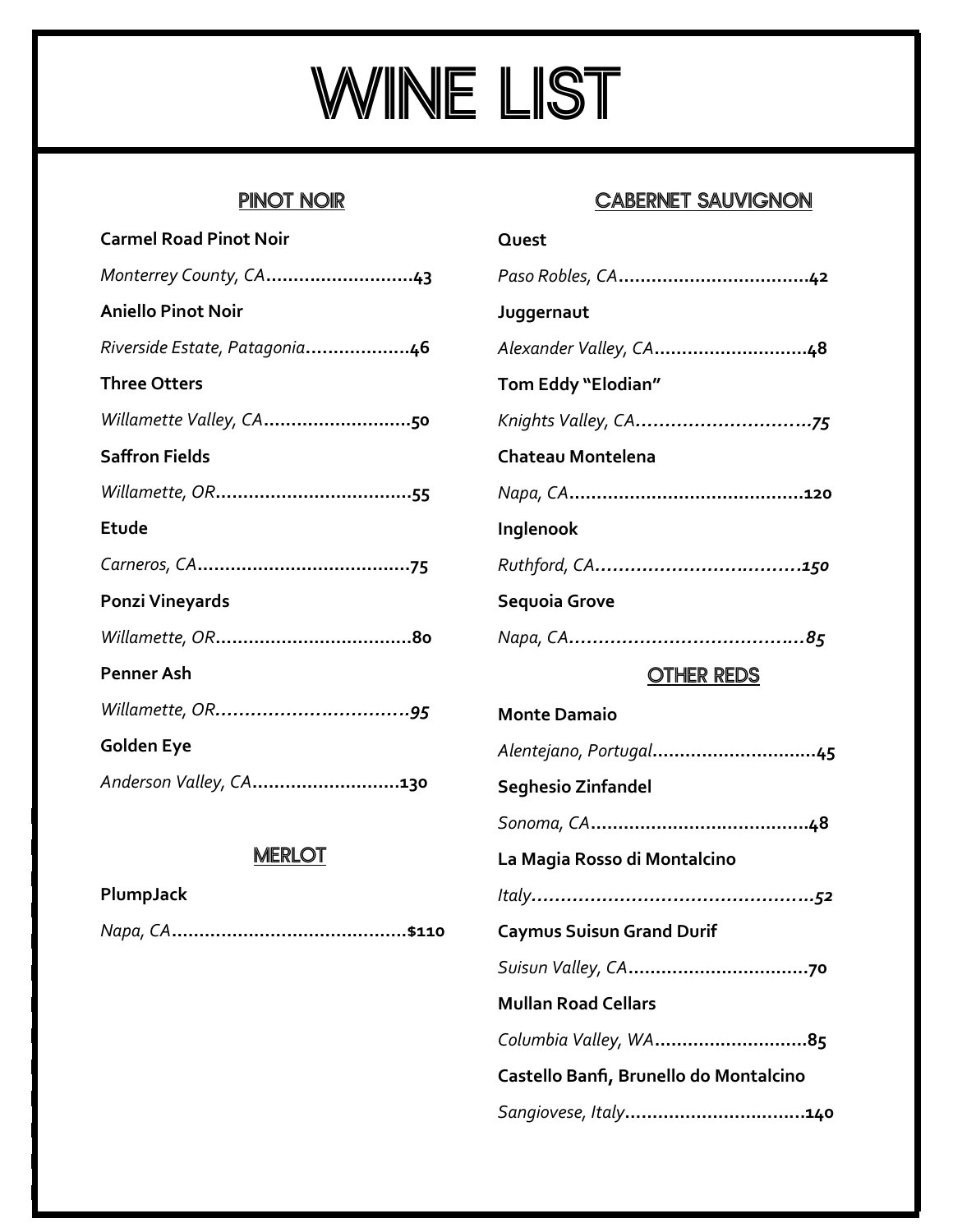# WINE LIST

# PINOT NOIR

| <b>Carmel Road Pinot Noir</b> |
|-------------------------------|
| Monterrey County, CA43        |
| <b>Aniello Pinot Noir</b>     |
| Riverside Estate, Patagonia46 |
| <b>Three Otters</b>           |
| Willamette Valley, CA50       |
| <b>Saffron Fields</b>         |
|                               |
| Etude                         |
|                               |
| <b>Ponzi Vineyards</b>        |
|                               |
| <b>Penner Ash</b>             |
|                               |
| Golden Eye                    |
| Anderson Valley, CA130        |

## **MERLOT**

| PlumpJack |  |
|-----------|--|
|           |  |

## CABERNET SAUVIGNON

| Quest                  |
|------------------------|
|                        |
| Juggernaut             |
| Alexander Valley, CA48 |
| Tom Eddy "Elodian"     |
|                        |
| Chateau Montelena      |
|                        |
| Inglenook              |
|                        |
| Sequoia Grove          |
|                        |

## OTHER REDS

| <b>Monte Damaio</b>                    |
|----------------------------------------|
|                                        |
| <b>Seghesio Zinfandel</b>              |
|                                        |
| La Magia Rosso di Montalcino           |
|                                        |
| <b>Caymus Suisun Grand Durif</b>       |
|                                        |
| <b>Mullan Road Cellars</b>             |
| Columbia Valley, WA85                  |
| Castello Banfi, Brunello do Montalcino |
| Sangiovese, Italy140                   |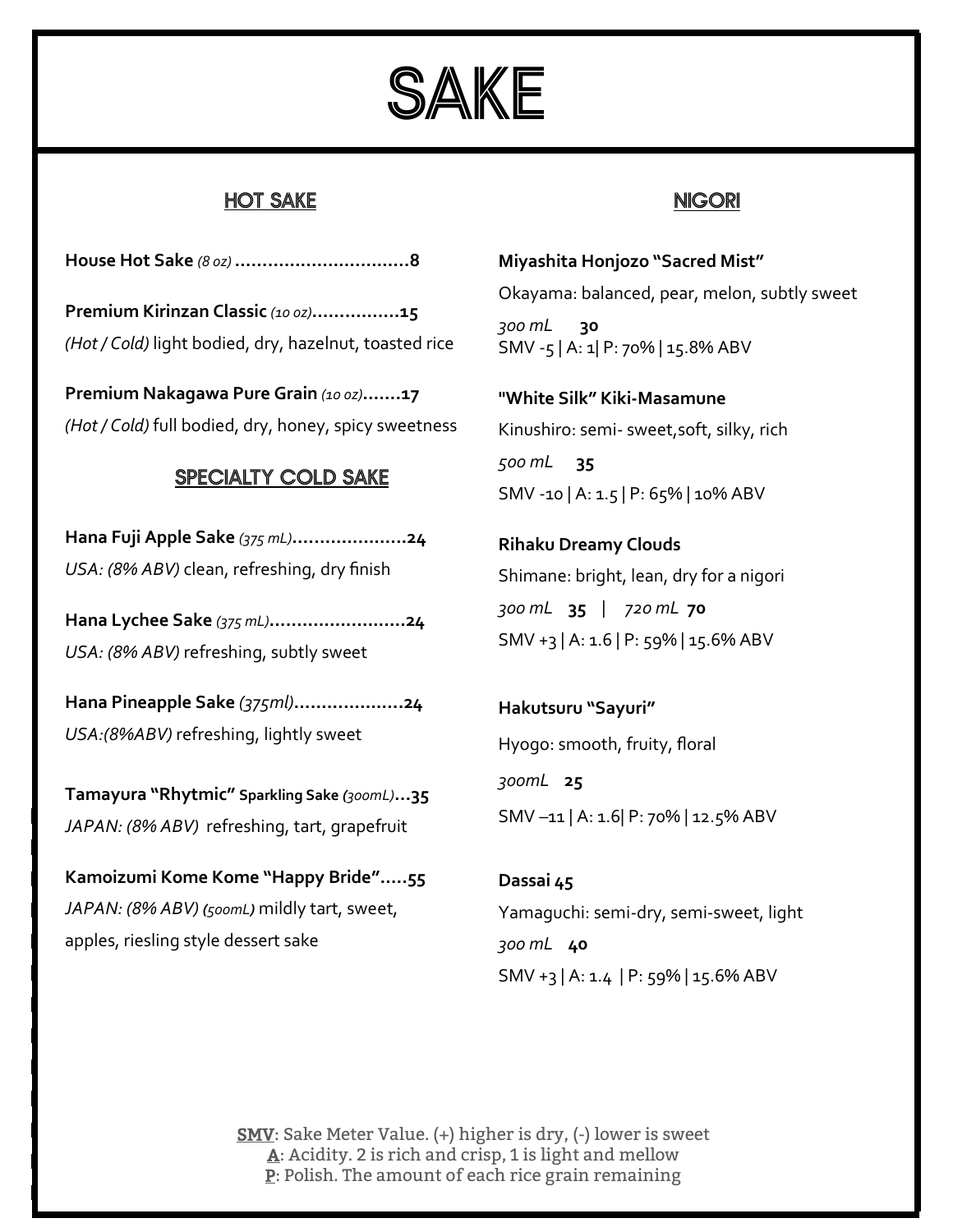

## HOT SAKE

**House Hot Sake** *(8 oz)* **………….……….….…..8**

**Premium Kirinzan Classic** *(10 oz)***…………….15** *(Hot / Cold)* light bodied, dry, hazelnut, toasted rice

**Premium Nakagawa Pure Grain** *(10 oz)***…….17** *(Hot / Cold)* full bodied, dry, honey, spicy sweetness

## SPECIALTY COLD SAKE

**Hana Fuji Apple Sake** *(375 mL)***….…….....…...24** *USA: (8% ABV)* clean, refreshing, dry finish

**Hana Lychee Sake** *(375 mL)***………..…..…..….24** *USA: (8% ABV)* refreshing, subtly sweet

**Hana Pineapple Sake** *(375ml)***………………..24** *USA:(8%ABV)* refreshing, lightly sweet

**Tamayura "Rhytmic" Sparkling Sake** *(300mL)***...35** *JAPAN: (8% ABV)* refreshing, tart, grapefruit

**Kamoizumi Kome Kome "Happy Bride"…..55** *JAPAN: (8% ABV) (500mL)* mildly tart, sweet, apples, riesling style dessert sake

## NIGORI

**Miyashita Honjozo "Sacred Mist"**  Okayama: balanced, pear, melon, subtly sweet

*300 mL* **30**  SMV -5 | A: 1| P: 70% | 15.8% ABV

**"White Silk" Kiki-Masamune**  Kinushiro: semi- sweet,soft, silky, rich *500 mL* **35** SMV -10 | A: 1.5 | P: 65% | 10% ABV

**Rihaku Dreamy Clouds**  Shimane: bright, lean, dry for a nigori *300 mL* **35** |*720 mL* **70** SMV +3 | A: 1.6 | P: 59% | 15.6% ABV

**Hakutsuru "Sayuri"**  Hyogo: smooth, fruity, floral *300mL* **25** SMV –11 | A: 1.6| P: 70% | 12.5% ABV

**Dassai 45** Yamaguchi: semi-dry, semi-sweet, light *300 mL* **40**  SMV +3 | A: 1.4 | P: 59% | 15.6% ABV

SMV: Sake Meter Value. (+) higher is dry, (-) lower is sweet A: Acidity. 2 is rich and crisp, 1 is light and mellow  $\underline{P}$ : Polish. The amount of each rice grain remaining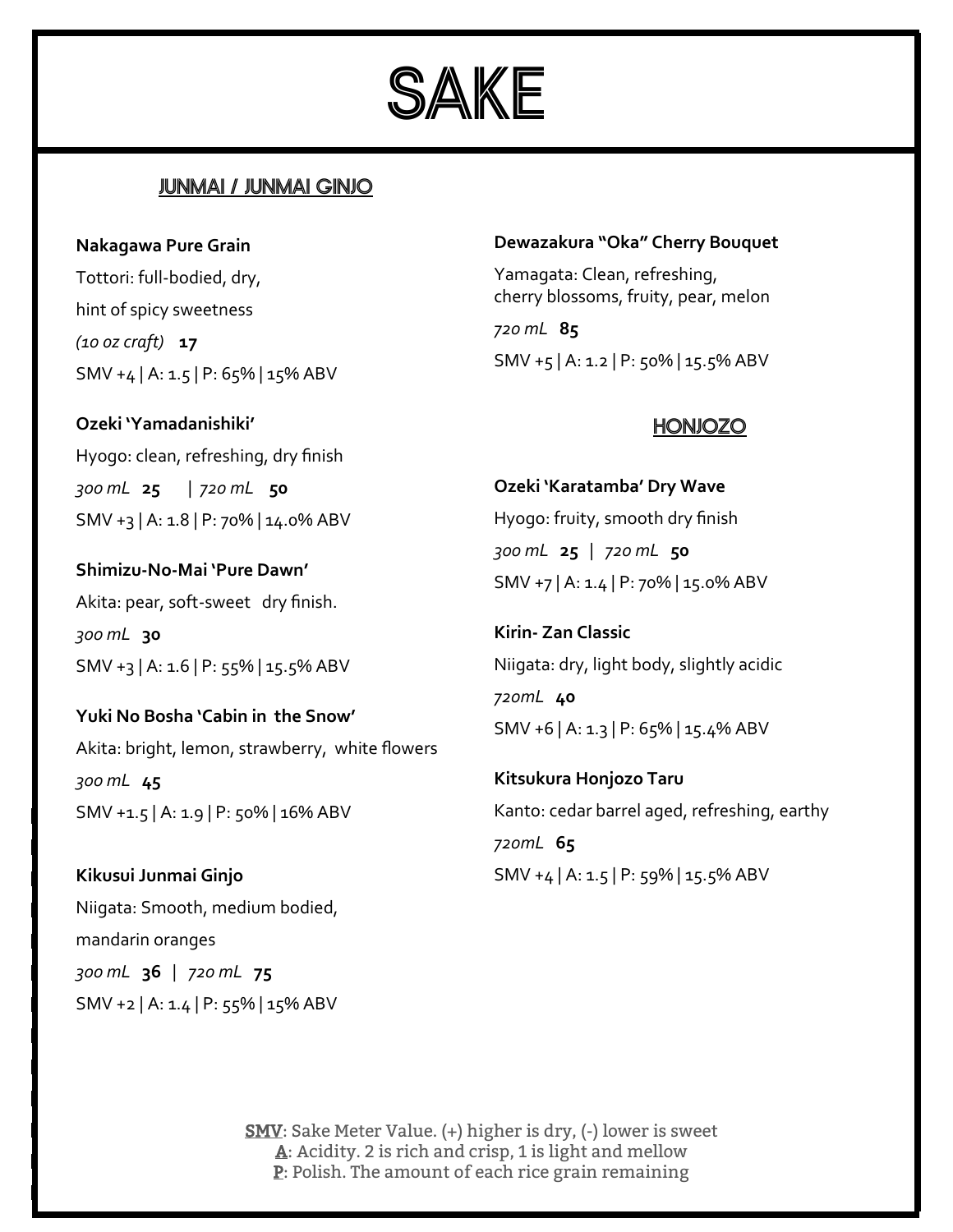

## JUNMAI / JUNMAI GINJO

**Nakagawa Pure Grain**  Tottori: full-bodied, dry, hint of spicy sweetness *(10 oz craft)* **17** SMV +4 | A: 1.5 | P: 65% | 15% ABV

**Ozeki 'Yamadanishiki'**  Hyogo: clean, refreshing, dry finish *300 mL* **25** | *720 mL* **50** SMV +3 | A: 1.8 | P: 70% | 14.0% ABV

**Shimizu-No-Mai 'Pure Dawn'** Akita: pear, soft-sweet dry finish. *300 mL* **30** SMV +3 | A: 1.6 | P: 55% | 15.5% ABV

**Yuki No Bosha 'Cabin in the Snow'** Akita: bright, lemon, strawberry, white flowers *300 mL* **45** SMV +1.5 | A: 1.9 | P: 50% | 16% ABV

**Kikusui Junmai Ginjo** Niigata: Smooth, medium bodied, mandarin oranges *300 mL* **36** |*720 mL* **75** SMV +2 | A: 1.4 | P: 55% | 15% ABV

#### **Dewazakura "Oka" Cherry Bouquet**

Yamagata: Clean, refreshing, cherry blossoms, fruity, pear, melon *720 mL* **85**

SMV +5 | A: 1.2 | P: 50% | 15.5% ABV

### HONJOZO

**Ozeki 'Karatamba' Dry Wave** Hyogo: fruity, smooth dry finish *300 mL* **25** | *720 mL* **50** SMV +7 | A: 1.4 | P: 70% | 15.0% ABV

**Kirin- Zan Classic** Niigata: dry, light body, slightly acidic *720mL* **40** SMV +6 | A: 1.3 | P: 65% | 15.4% ABV

**Kitsukura Honjozo Taru**  Kanto: cedar barrel aged, refreshing, earthy *720mL* **65** SMV +4 | A: 1.5 | P: 59% | 15.5% ABV

SMV: Sake Meter Value. (+) higher is dry, (-) lower is sweet A: Acidity. 2 is rich and crisp, 1 is light and mellow  $\underline{P}$ : Polish. The amount of each rice grain remaining